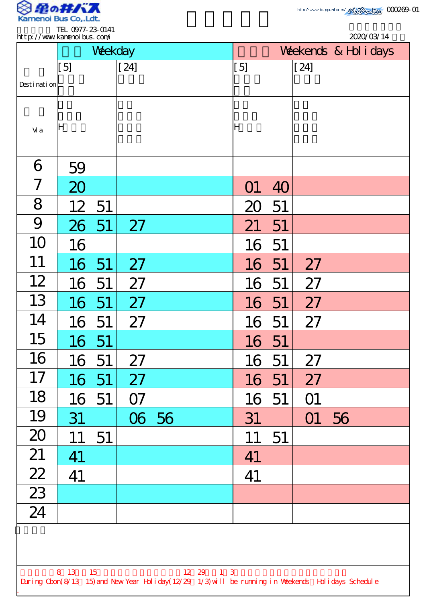

.

| http://www.kanenoi.bus.com/                                                                                                |                 |         |        |       |                       |          |    |        |    | 2020/03/14 |
|----------------------------------------------------------------------------------------------------------------------------|-----------------|---------|--------|-------|-----------------------|----------|----|--------|----|------------|
|                                                                                                                            |                 | Weekday |        |       | Weekends & Hol i days |          |    |        |    |            |
|                                                                                                                            | [5]             |         | $[24]$ |       |                       | [5]      |    | $[24]$ |    |            |
| Desti nati on                                                                                                              |                 |         |        |       |                       |          |    |        |    |            |
| Vi a                                                                                                                       | ΙH              |         |        |       |                       | lΗ       |    |        |    |            |
| 6                                                                                                                          | 59              |         |        |       |                       |          |    |        |    |            |
| 7                                                                                                                          | 20              |         |        |       |                       | $\Omega$ | 40 |        |    |            |
| 8                                                                                                                          | 12 <sup>2</sup> | 51      |        |       |                       | 20       | 51 |        |    |            |
| 9                                                                                                                          | 26              | -51     | 27     |       |                       | 21       | 51 |        |    |            |
| 10                                                                                                                         | 16              |         |        |       |                       | 16       | 51 |        |    |            |
| 11                                                                                                                         | 16              | 51      | 27     |       |                       | 16       | 51 | 27     |    |            |
| 12                                                                                                                         | 16              | 51      | 27     |       |                       | 16       | 51 | 27     |    |            |
| 13                                                                                                                         | 16 51           |         | 27     |       |                       | 16       | 51 | 27     |    |            |
| 14                                                                                                                         | 16              | 51      | 27     |       |                       | 16 51    |    | 27     |    |            |
| 15                                                                                                                         | 16              | 51      |        |       |                       | 16 51    |    |        |    |            |
| 16                                                                                                                         | 16              | 51      | 27     |       |                       | 16       | 51 | 27     |    |            |
| 17                                                                                                                         | 16              | 51      | 27     |       |                       | 16       | 51 | 27     |    |            |
| 18                                                                                                                         | 16              | 51      | 07     |       |                       | 16 51    |    | O1     |    |            |
| 19                                                                                                                         | 31              |         |        | 06 56 |                       | 31       |    | O1     | 56 |            |
| 20                                                                                                                         | 11              | 51      |        |       |                       | 11       | 51 |        |    |            |
| 21                                                                                                                         | 41              |         |        |       |                       | 41       |    |        |    |            |
| $\frac{22}{23}$                                                                                                            | 41              |         |        |       |                       | 41       |    |        |    |            |
|                                                                                                                            |                 |         |        |       |                       |          |    |        |    |            |
| 24                                                                                                                         |                 |         |        |       |                       |          |    |        |    |            |
|                                                                                                                            |                 |         |        |       |                       |          |    |        |    |            |
| 8 13 15<br>12 29 1 3<br>During Cbon(8/13 15) and New Year Holiday(12/29 1/3) will be running in Weekends Holidays Schedule |                 |         |        |       |                       |          |    |        |    |            |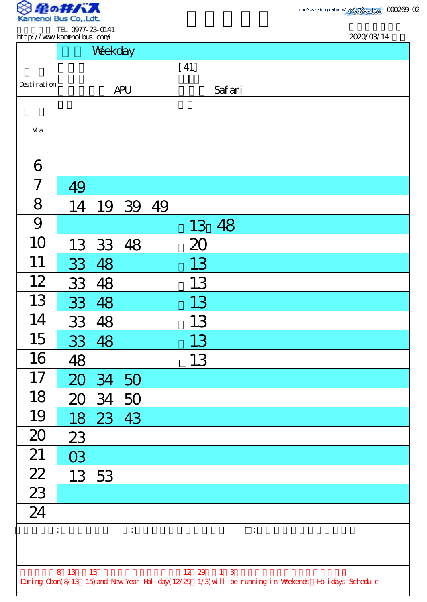

TEL 0977-23-0141 http://www.kamenoibus.com/

| http://www.kanenoi.bus.com/ |         |          |                                      |                | 2020/03/14                                                                                         |
|-----------------------------|---------|----------|--------------------------------------|----------------|----------------------------------------------------------------------------------------------------|
|                             |         | Weekday  |                                      |                |                                                                                                    |
|                             |         |          |                                      | $[41]$         |                                                                                                    |
| Desti nati on               |         |          | <b>APU</b>                           |                | Safari                                                                                             |
|                             |         |          |                                      |                |                                                                                                    |
| Vi a                        |         |          |                                      |                |                                                                                                    |
|                             |         |          |                                      |                |                                                                                                    |
| 6                           |         |          |                                      |                |                                                                                                    |
| 7                           | 49      |          |                                      |                |                                                                                                    |
| 8                           |         |          | 14 19 39 49                          |                |                                                                                                    |
| 9                           |         |          |                                      |                | 13 48                                                                                              |
| 10                          |         | 13 33 48 |                                      | 20             |                                                                                                    |
| 11                          |         | 33 48    |                                      | 13             |                                                                                                    |
| 12                          | 33      | 48       |                                      | 13             |                                                                                                    |
| 13                          | 33 48   |          |                                      | 13             |                                                                                                    |
| 14                          |         | 33 48    |                                      | 13             |                                                                                                    |
| 15                          |         | 33 48    |                                      | 13             |                                                                                                    |
| 16                          | 48      |          |                                      | 13             |                                                                                                    |
| 17                          |         | 20 34 50 |                                      |                |                                                                                                    |
| 18                          |         | 20 34 50 |                                      |                |                                                                                                    |
| 19                          |         | 18 23 43 |                                      |                |                                                                                                    |
| 20                          | 23      |          |                                      |                |                                                                                                    |
| 21                          | 03      |          |                                      |                |                                                                                                    |
| $\frac{22}{23}$             |         | 13 53    |                                      |                |                                                                                                    |
|                             |         |          |                                      |                |                                                                                                    |
| 24                          |         |          |                                      |                |                                                                                                    |
|                             |         |          | $\ddot{\ddot{\phantom{}}\phantom{}}$ |                | $\ddot{\cdot}$                                                                                     |
|                             |         |          |                                      |                |                                                                                                    |
|                             | 8 13 15 |          |                                      | $12 \t29 \t13$ |                                                                                                    |
|                             |         |          |                                      |                | During Cbon(8/13 15) and New Year Holiday(12/29 1/3) will be running in Weekends Holidays Schedule |